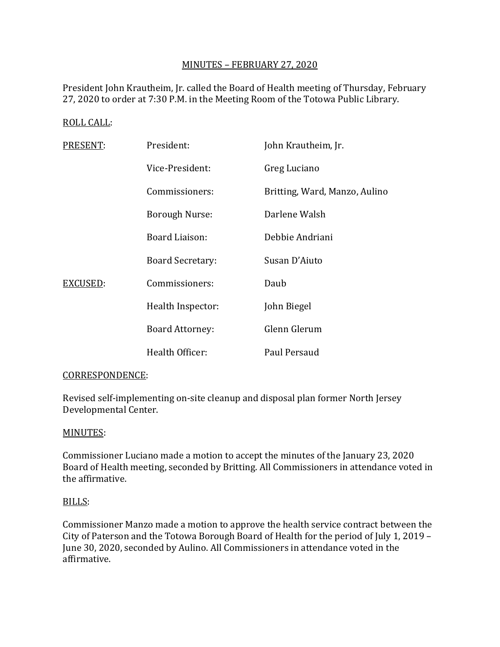# MINUTES – FEBRUARY 27, 2020

President John Krautheim, Jr. called the Board of Health meeting of Thursday, February 27, 2020 to order at 7:30 P.M. in the Meeting Room of the Totowa Public Library.

### ROLL CALL:

| PRESENT: | President:              | John Krautheim, Jr.           |
|----------|-------------------------|-------------------------------|
|          | Vice-President:         | Greg Luciano                  |
|          | Commissioners:          | Britting, Ward, Manzo, Aulino |
|          | Borough Nurse:          | Darlene Walsh                 |
|          | Board Liaison:          | Debbie Andriani               |
|          | <b>Board Secretary:</b> | Susan D'Aiuto                 |
| EXCUSED: | Commissioners:          | Daub                          |
|          | Health Inspector:       | John Biegel                   |
|          | <b>Board Attorney:</b>  | Glenn Glerum                  |
|          | Health Officer:         | Paul Persaud                  |

#### CORRESPONDENCE:

Revised self-implementing on-site cleanup and disposal plan former North Jersey Developmental Center.

#### MINUTES:

Commissioner Luciano made a motion to accept the minutes of the January 23, 2020 Board of Health meeting, seconded by Britting. All Commissioners in attendance voted in the affirmative.

#### BILLS:

Commissioner Manzo made a motion to approve the health service contract between the City of Paterson and the Totowa Borough Board of Health for the period of July 1, 2019 – June 30, 2020, seconded by Aulino. All Commissioners in attendance voted in the affirmative.